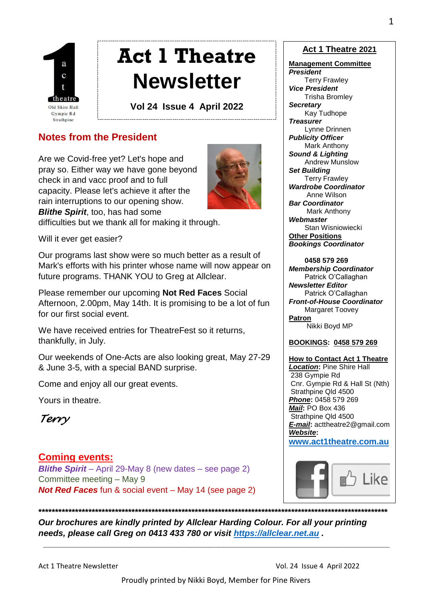

# **Act 1 Theatre Newsletter**

**Vol 24 Issue 4 April 2022**

# **Notes from the President**

Are we Covid-free yet? Let's hope and pray so. Either way we have gone beyond check in and vacc proof and to full capacity. Please let's achieve it after the rain interruptions to our opening show. *Blithe Spirit*, too, has had some



difficulties but we thank all for making it through.

Will it ever get easier?

Our programs last show were so much better as a result of Mark's efforts with his printer whose name will now appear on future programs. THANK YOU to Greg at Allclear.

Please remember our upcoming **Not Red Faces** Social Afternoon, 2.00pm, May 14th. It is promising to be a lot of fun for our first social event.

We have received entries for TheatreFest so it returns, thankfully, in July.

Our weekends of One-Acts are also looking great, May 27-29 & June 3-5, with a special BAND surprise.

Come and enjoy all our great events.

Yours in theatre.

*Terry* 

# **Coming events:**

*Blithe Spirit* – April 29-May 8 (new dates – see page 2) Committee meeting – May 9 *Not Red Faces* fun & social event – May 14 (see page 2)

#### **Act 1 Theatre 2021**

#### **Management Committee** *President*

 Terry Frawley *Vice President* Trisha Bromley *Secretary* Kay Tudhope *Treasurer* Lynne Drinnen *Publicity Officer* Mark Anthony *Sound & Lighting* Andrew Munslow *Set Building* Terry Frawley *Wardrobe Coordinator* Anne Wilson *Bar Coordinator* Mark Anthony *Webmaster* Stan Wisniowiecki **Other Positions** *Bookings Coordinator*

 **0458 579 269** *Membership Coordinator* Patrick O'Callaghan *Newsletter Editor* Patrick O'Callaghan *Front-of-House Coordinator* Margaret Toovev **Patron** Nikki Boyd MP

#### **BOOKINGS: 0458 579 269**

**How to Contact Act 1 Theatre** *Location***:** Pine Shire Hall 238 Gympie Rd Cnr. Gympie Rd & Hall St (Nth) Strathpine Qld 4500 *Phone***:** 0458 579 269 *Mail***:** PO Box 436 Strathpine Qld 4500 *E-mail***:** acttheatre2@gmail.com *Website***:**

**[www.act1theatre.com.au](http://www.act1theatre.com.au/)**



*Our brochures are kindly printed by Allclear Harding Colour. For all your printing needs, please call Greg on 0413 433 780 or visit [https://allclear.net.au](https://allclear.net.au/) .*

**\*\*\*\*\*\*\*\*\*\*\*\*\*\*\*\*\*\*\*\*\*\*\*\*\*\*\*\*\*\*\*\*\*\*\*\*\*\*\*\*\*\*\*\*\*\*\*\*\*\*\*\*\*\*\*\*\*\*\*\*\*\*\*\*\*\*\*\*\*\*\*\*\*\*\*\*\*\*\*\*\*\*\*\*\*\*\*\*\*\*\*\*\*\*\*\*\*\*\*\*\*\*\*\*\***

**\_\_\_\_\_\_\_\_\_\_\_\_\_\_\_\_\_\_\_\_\_\_\_\_\_\_\_\_\_\_\_\_\_\_\_\_\_\_\_\_\_\_\_\_\_\_\_\_\_\_\_\_\_\_\_\_\_\_\_\_\_\_\_\_\_\_\_\_\_\_\_\_\_**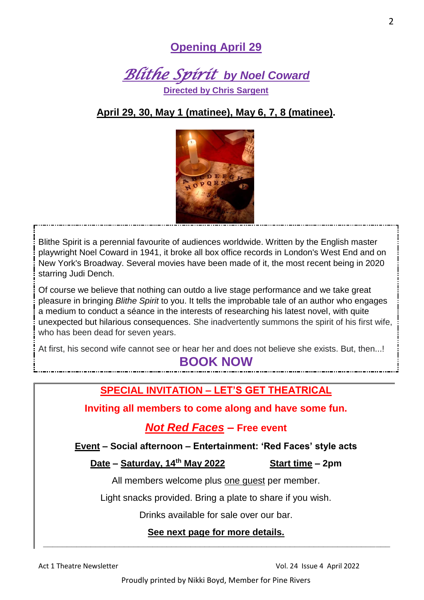# **Opening April 29**



# **April 29, 30, May 1 (matinee), May 6, 7, 8 (matinee).**



Blithe Spirit is a perennial favourite of audiences worldwide. Written by the English master playwright Noel Coward in 1941, it broke all box office records in London's West End and on New York's Broadway. Several movies have been made of it, the most recent being in 2020 starring Judi Dench.

 $\overline{a}$ 

Of course we believe that nothing can outdo a live stage performance and we take great pleasure in bringing *Blithe Spirit* to you. It tells the improbable tale of an author who engages a medium to conduct a séance in the interests of researching his latest novel, with quite unexpected but hilarious consequences. She inadvertently summons the spirit of his first wife, who has been dead for seven years.

At first, his second wife cannot see or hear her and does not believe she exists. But, then...!

# **BOOK NOW**

# **SPECIAL INVITATION – LET'S GET THEATRICAL**

**Inviting all members to come along and have some fun.**

# *Not Red Faces –* **Free event**

**Event – Social afternoon – Entertainment: 'Red Faces' style acts**

## **Date – Saturday, 14th May 2022 Start time – 2pm**

All members welcome plus one guest per member.

Light snacks provided. Bring a plate to share if you wish.

Drinks available for sale over our bar.

## **See next page for more details. \_\_\_\_\_\_\_\_\_\_\_\_\_\_\_\_\_\_\_\_\_\_\_\_\_\_\_\_\_\_\_\_\_\_\_\_\_\_\_\_\_\_\_\_\_\_\_\_\_\_\_\_\_\_\_\_\_\_\_\_\_\_\_\_\_\_\_\_\_\_\_\_\_**

Act 1 Theatre Newsletter Vol. 24 Issue 4 April 2022

Proudly printed by Nikki Boyd, Member for Pine Rivers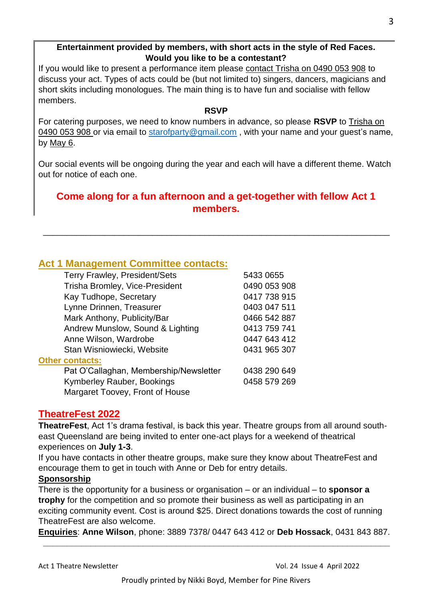## **Entertainment provided by members, with short acts in the style of Red Faces. Would you like to be a contestant?**

If you would like to present a performance item please contact Trisha on 0490 053 908 to discuss your act. Types of acts could be (but not limited to) singers, dancers, magicians and short skits including monologues. The main thing is to have fun and socialise with fellow members.

#### **RSVP**

For catering purposes, we need to know numbers in advance, so please **RSVP** to Trisha on 0490 053 908 or via email to [starofparty@gmail.com](mailto:starofparty@gmail.com), with your name and your quest's name, by May 6.

Our social events will be ongoing during the year and each will have a different theme. Watch out for notice of each one.

# **Come along for a fun afternoon and a get-together with fellow Act 1 members.**

\_\_\_\_\_\_\_\_\_\_\_\_\_\_\_\_\_\_\_\_\_\_\_\_\_\_\_\_\_\_\_\_\_\_\_\_\_\_\_\_\_\_\_\_\_\_\_\_\_\_\_\_\_\_\_\_\_\_\_\_\_\_\_\_\_\_\_\_\_\_\_\_\_

# **Act 1 Management Committee contacts:**

| <b>Terry Frawley, President/Sets</b>   | 5433 0655    |
|----------------------------------------|--------------|
| Trisha Bromley, Vice-President         | 0490 053 908 |
| Kay Tudhope, Secretary                 | 0417 738 915 |
| Lynne Drinnen, Treasurer               | 0403 047 511 |
| Mark Anthony, Publicity/Bar            | 0466 542 887 |
| Andrew Munslow, Sound & Lighting       | 0413 759 741 |
| Anne Wilson, Wardrobe                  | 0447 643 412 |
| Stan Wisniowiecki, Website             | 0431 965 307 |
| <b>Other contacts:</b>                 |              |
| Pat O'Callaghan, Membership/Newsletter | 0438 290 649 |
| <b>Kymberley Rauber, Bookings</b>      | 0458 579 269 |
| Margaret Toovey, Front of House        |              |

## **TheatreFest 2022**

**TheatreFest**, Act 1's drama festival, is back this year. Theatre groups from all around southeast Queensland are being invited to enter one-act plays for a weekend of theatrical experiences on **July 1-3**.

If you have contacts in other theatre groups, make sure they know about TheatreFest and encourage them to get in touch with Anne or Deb for entry details.

## **Sponsorship**

There is the opportunity for a business or organisation – or an individual – to **sponsor a trophy** for the competition and so promote their business as well as participating in an exciting community event. Cost is around \$25. Direct donations towards the cost of running TheatreFest are also welcome.

**Enquiries**: **Anne Wilson**, phone: 3889 7378/ 0447 643 412 or **Deb Hossack**, 0431 843 887.  **\_\_\_\_\_\_\_\_\_\_\_\_\_\_\_\_\_\_\_\_\_\_\_\_\_\_\_\_\_\_\_\_\_\_\_\_\_\_\_\_\_\_\_\_\_\_\_\_\_\_\_\_\_\_\_\_\_\_\_\_\_\_\_\_\_\_\_\_\_\_\_\_\_**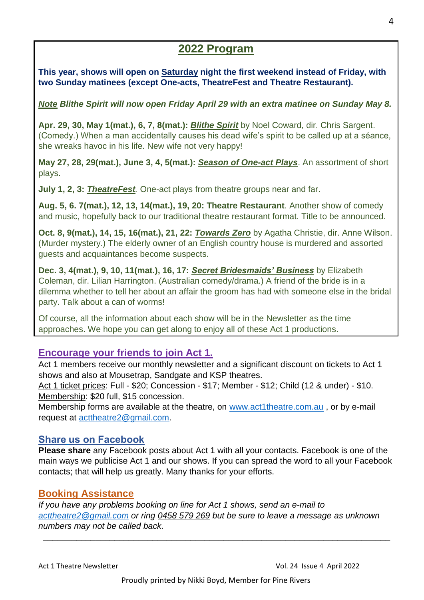# **2022 Program**

**This year, shows will open on Saturday night the first weekend instead of Friday, with two Sunday matinees (except One-acts, TheatreFest and Theatre Restaurant).**

*Note Blithe Spirit will now open Friday April 29 with an extra matinee on Sunday May 8.*

**Apr. 29, 30, May 1(mat.), 6, 7, 8(mat.):** *Blithe Spirit* by Noel Coward, dir. Chris Sargent. (Comedy.) When a man accidentally causes his dead wife's spirit to be called up at a séance, she wreaks havoc in his life. New wife not very happy!

**May 27, 28, 29(mat.), June 3, 4, 5(mat.):** *Season of One-act Plays*. An assortment of short plays.

**July 1, 2, 3:** *TheatreFest.* One-act plays from theatre groups near and far.

**Aug. 5, 6. 7(mat.), 12, 13, 14(mat.), 19, 20: Theatre Restaurant**. Another show of comedy and music, hopefully back to our traditional theatre restaurant format. Title to be announced.

**Oct. 8, 9(mat.), 14, 15, 16(mat.), 21, 22:** *Towards Zero* by Agatha Christie, dir. Anne Wilson. (Murder mystery.) The elderly owner of an English country house is murdered and assorted guests and acquaintances become suspects.

**Dec. 3, 4(mat.), 9, 10, 11(mat.), 16, 17:** *Secret Bridesmaids' Business* by Elizabeth Coleman, dir. Lilian Harrington. (Australian comedy/drama.) A friend of the bride is in a dilemma whether to tell her about an affair the groom has had with someone else in the bridal party. Talk about a can of worms!

Of course, all the information about each show will be in the Newsletter as the time approaches. We hope you can get along to enjoy all of these Act 1 productions.

# **Encourage your friends to join Act 1.**

Act 1 members receive our monthly newsletter and a significant discount on tickets to Act 1 shows and also at Mousetrap, Sandgate and KSP theatres.

Act 1 ticket prices: Full - \$20; Concession - \$17; Member - \$12; Child (12 & under) - \$10. Membership: \$20 full, \$15 concession.

Membership forms are available at the theatre, on [www.act1theatre.com.au](http://www.act1theatre.com.au/), or by e-mail request at [acttheatre2@gmail.com.](mailto:acttheatre2@gmail.com)

## **Share us on Facebook**

**Please share** any Facebook posts about Act 1 with all your contacts. Facebook is one of the main ways we publicise Act 1 and our shows. If you can spread the word to all your Facebook contacts; that will help us greatly. Many thanks for your efforts.

## **Booking Assistance**

*If you have any problems booking on line for Act 1 shows, send an e-mail to [acttheatre2@gmail.com](mailto:acttheatre2@gmail.com) or ring 0458 579 269 but be sure to leave a message as unknown numbers may not be called back.*

 **\_\_\_\_\_\_\_\_\_\_\_\_\_\_\_\_\_\_\_\_\_\_\_\_\_\_\_\_\_\_\_\_\_\_\_\_\_\_\_\_\_\_\_\_\_\_\_\_\_\_\_\_\_\_\_\_\_\_\_\_\_\_\_\_\_\_\_\_\_\_\_\_\_**

Proudly printed by Nikki Boyd, Member for Pine Rivers